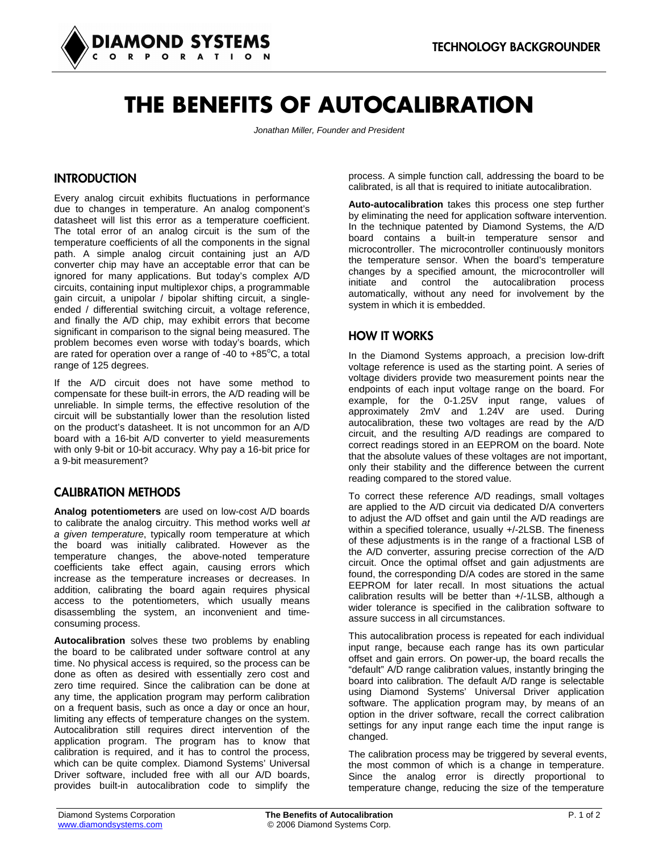

# **THE BENEFITS OF AUTOCALIBRATION**

*Jonathan Miller, Founder and President* 

# **INTRODUCTION**

Every analog circuit exhibits fluctuations in performance due to changes in temperature. An analog component's datasheet will list this error as a temperature coefficient. The total error of an analog circuit is the sum of the temperature coefficients of all the components in the signal path. A simple analog circuit containing just an A/D converter chip may have an acceptable error that can be ignored for many applications. But today's complex A/D circuits, containing input multiplexor chips, a programmable gain circuit, a unipolar / bipolar shifting circuit, a singleended / differential switching circuit, a voltage reference, and finally the A/D chip, may exhibit errors that become significant in comparison to the signal being measured. The problem becomes even worse with today's boards, which are rated for operation over a range of -40 to +85 $^{\circ}$ C, a total range of 125 degrees.

If the A/D circuit does not have some method to compensate for these built-in errors, the A/D reading will be unreliable. In simple terms, the effective resolution of the circuit will be substantially lower than the resolution listed on the product's datasheet. It is not uncommon for an A/D board with a 16-bit A/D converter to yield measurements with only 9-bit or 10-bit accuracy. Why pay a 16-bit price for a 9-bit measurement?

### CALIBRATION METHODS

**Analog potentiometers** are used on low-cost A/D boards to calibrate the analog circuitry. This method works well *at a given temperature*, typically room temperature at which the board was initially calibrated. However as the temperature changes, the above-noted temperature coefficients take effect again, causing errors which increase as the temperature increases or decreases. In addition, calibrating the board again requires physical access to the potentiometers, which usually means disassembling the system, an inconvenient and timeconsuming process.

**Autocalibration** solves these two problems by enabling the board to be calibrated under software control at any time. No physical access is required, so the process can be done as often as desired with essentially zero cost and zero time required. Since the calibration can be done at any time, the application program may perform calibration on a frequent basis, such as once a day or once an hour, limiting any effects of temperature changes on the system. Autocalibration still requires direct intervention of the application program. The program has to know that calibration is required, and it has to control the process, which can be quite complex. Diamond Systems' Universal Driver software, included free with all our A/D boards, provides built-in autocalibration code to simplify the

process. A simple function call, addressing the board to be calibrated, is all that is required to initiate autocalibration.

**Auto-autocalibration** takes this process one step further by eliminating the need for application software intervention. In the technique patented by Diamond Systems, the A/D board contains a built-in temperature sensor and microcontroller. The microcontroller continuously monitors the temperature sensor. When the board's temperature changes by a specified amount, the microcontroller will initiate and control the autocalibration process automatically, without any need for involvement by the system in which it is embedded.

### HOW IT WORKS

In the Diamond Systems approach, a precision low-drift voltage reference is used as the starting point. A series of voltage dividers provide two measurement points near the endpoints of each input voltage range on the board. For example, for the 0-1.25V input range, values of approximately 2mV and 1.24V are used. During autocalibration, these two voltages are read by the A/D circuit, and the resulting A/D readings are compared to correct readings stored in an EEPROM on the board. Note that the absolute values of these voltages are not important, only their stability and the difference between the current reading compared to the stored value.

To correct these reference A/D readings, small voltages are applied to the A/D circuit via dedicated D/A converters to adjust the A/D offset and gain until the A/D readings are within a specified tolerance, usually +/-2LSB. The fineness of these adjustments is in the range of a fractional LSB of the A/D converter, assuring precise correction of the A/D circuit. Once the optimal offset and gain adjustments are found, the corresponding D/A codes are stored in the same EEPROM for later recall. In most situations the actual calibration results will be better than +/-1LSB, although a wider tolerance is specified in the calibration software to assure success in all circumstances.

This autocalibration process is repeated for each individual input range, because each range has its own particular offset and gain errors. On power-up, the board recalls the "default" A/D range calibration values, instantly bringing the board into calibration. The default A/D range is selectable using Diamond Systems' Universal Driver application software. The application program may, by means of an option in the driver software, recall the correct calibration settings for any input range each time the input range is changed.

The calibration process may be triggered by several events, the most common of which is a change in temperature. Since the analog error is directly proportional to temperature change, reducing the size of the temperature